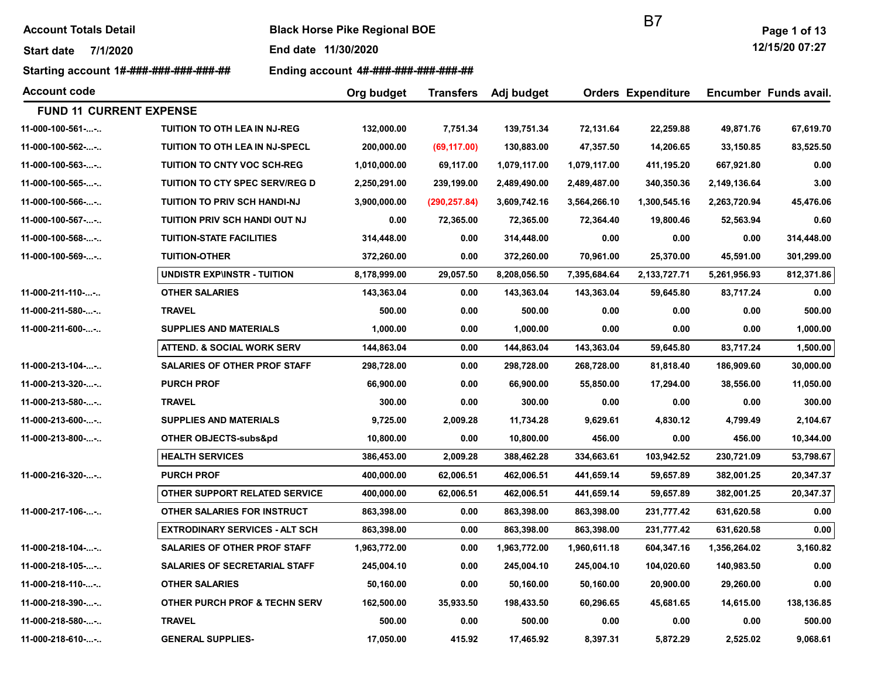| <b>Account Totals Detail</b> |  |
|------------------------------|--|
|------------------------------|--|

**Black Horse Pike Regional BOE** 

Start date 7/1/2020 End date 11/30/2020

Starting account 1#-###-###-###-###-## Ending account 4#-###-###-###-###-###

B7

12/15/20 07:27

| <b>Account code</b>            |                                          | Org budget   | <b>Transfers</b> | Adj budget   |              | <b>Orders Expenditure</b> |              |            |  | Encumber Funds avail. |
|--------------------------------|------------------------------------------|--------------|------------------|--------------|--------------|---------------------------|--------------|------------|--|-----------------------|
| <b>FUND 11 CURRENT EXPENSE</b> |                                          |              |                  |              |              |                           |              |            |  |                       |
| 11-000-100-561--               | <b>TUITION TO OTH LEA IN NJ-REG</b>      | 132,000.00   | 7,751.34         | 139,751.34   | 72,131.64    | 22,259.88                 | 49,871.76    | 67,619.70  |  |                       |
| 11-000-100-562--               | <b>TUITION TO OTH LEA IN NJ-SPECL</b>    | 200,000.00   | (69, 117.00)     | 130,883.00   | 47,357.50    | 14,206.65                 | 33,150.85    | 83,525.50  |  |                       |
| 11-000-100-563--               | <b>TUITION TO CNTY VOC SCH-REG</b>       | 1,010,000.00 | 69,117.00        | 1,079,117.00 | 1,079,117.00 | 411,195.20                | 667,921.80   | 0.00       |  |                       |
| 11-000-100-565--               | TUITION TO CTY SPEC SERV/REG D           | 2,250,291.00 | 239,199.00       | 2,489,490.00 | 2,489,487.00 | 340,350.36                | 2,149,136.64 | 3.00       |  |                       |
| 11-000-100-566--               | <b>TUITION TO PRIV SCH HANDI-NJ</b>      | 3,900,000.00 | (290, 257.84)    | 3,609,742.16 | 3,564,266.10 | 1,300,545.16              | 2,263,720.94 | 45,476.06  |  |                       |
| 11-000-100-567--               | TUITION PRIV SCH HANDI OUT NJ            | 0.00         | 72,365.00        | 72,365.00    | 72,364.40    | 19,800.46                 | 52,563.94    | 0.60       |  |                       |
| 11-000-100-568--               | <b>TUITION-STATE FACILITIES</b>          | 314,448.00   | 0.00             | 314,448.00   | 0.00         | 0.00                      | 0.00         | 314,448.00 |  |                       |
| 11-000-100-569--               | <b>TUITION-OTHER</b>                     | 372,260.00   | 0.00             | 372,260.00   | 70,961.00    | 25,370.00                 | 45,591.00    | 301,299.00 |  |                       |
|                                | <b>UNDISTR EXP\INSTR - TUITION</b>       | 8,178,999.00 | 29,057.50        | 8,208,056.50 | 7,395,684.64 | 2,133,727.71              | 5,261,956.93 | 812,371.86 |  |                       |
| 11-000-211-110--               | <b>OTHER SALARIES</b>                    | 143,363.04   | 0.00             | 143,363.04   | 143,363.04   | 59,645.80                 | 83,717.24    | 0.00       |  |                       |
| 11-000-211-580--               | <b>TRAVEL</b>                            | 500.00       | 0.00             | 500.00       | 0.00         | 0.00                      | 0.00         | 500.00     |  |                       |
| 11-000-211-600--               | <b>SUPPLIES AND MATERIALS</b>            | 1,000.00     | 0.00             | 1,000.00     | 0.00         | 0.00                      | 0.00         | 1,000.00   |  |                       |
|                                | <b>ATTEND. &amp; SOCIAL WORK SERV</b>    | 144,863.04   | 0.00             | 144,863.04   | 143,363.04   | 59,645.80                 | 83,717.24    | 1,500.00   |  |                       |
| 11-000-213-104--               | SALARIES OF OTHER PROF STAFF             | 298,728.00   | 0.00             | 298,728.00   | 268,728.00   | 81,818.40                 | 186,909.60   | 30,000.00  |  |                       |
| 11-000-213-320--               | <b>PURCH PROF</b>                        | 66,900.00    | 0.00             | 66,900.00    | 55,850.00    | 17,294.00                 | 38,556.00    | 11,050.00  |  |                       |
| 11-000-213-580--               | <b>TRAVEL</b>                            | 300.00       | 0.00             | 300.00       | 0.00         | 0.00                      | 0.00         | 300.00     |  |                       |
| 11-000-213-600--               | <b>SUPPLIES AND MATERIALS</b>            | 9,725.00     | 2,009.28         | 11,734.28    | 9,629.61     | 4,830.12                  | 4,799.49     | 2,104.67   |  |                       |
| 11-000-213-800--               | OTHER OBJECTS-subs&pd                    | 10,800.00    | 0.00             | 10,800.00    | 456.00       | 0.00                      | 456.00       | 10,344.00  |  |                       |
|                                | <b>HEALTH SERVICES</b>                   | 386,453.00   | 2,009.28         | 388,462.28   | 334,663.61   | 103,942.52                | 230,721.09   | 53,798.67  |  |                       |
| 11-000-216-320--               | <b>PURCH PROF</b>                        | 400,000.00   | 62,006.51        | 462,006.51   | 441,659.14   | 59,657.89                 | 382,001.25   | 20,347.37  |  |                       |
|                                | OTHER SUPPORT RELATED SERVICE            | 400,000.00   | 62,006.51        | 462,006.51   | 441,659.14   | 59,657.89                 | 382,001.25   | 20,347.37  |  |                       |
| 11-000-217-106--               | OTHER SALARIES FOR INSTRUCT              | 863,398.00   | 0.00             | 863,398.00   | 863,398.00   | 231,777.42                | 631,620.58   | 0.00       |  |                       |
|                                | <b>EXTRODINARY SERVICES - ALT SCH</b>    | 863,398.00   | 0.00             | 863,398.00   | 863,398.00   | 231,777.42                | 631,620.58   | 0.00       |  |                       |
| 11-000-218-104--               | SALARIES OF OTHER PROF STAFF             | 1,963,772.00 | 0.00             | 1,963,772.00 | 1,960,611.18 | 604,347.16                | 1,356,264.02 | 3,160.82   |  |                       |
| 11-000-218-105--               | <b>SALARIES OF SECRETARIAL STAFF</b>     | 245,004.10   | 0.00             | 245,004.10   | 245,004.10   | 104,020.60                | 140,983.50   | 0.00       |  |                       |
| 11-000-218-110--               | <b>OTHER SALARIES</b>                    | 50,160.00    | 0.00             | 50,160.00    | 50,160.00    | 20,900.00                 | 29,260.00    | 0.00       |  |                       |
| 11-000-218-390--               | <b>OTHER PURCH PROF &amp; TECHN SERV</b> | 162,500.00   | 35,933.50        | 198,433.50   | 60,296.65    | 45,681.65                 | 14,615.00    | 138,136.85 |  |                       |
| 11-000-218-580--               | <b>TRAVEL</b>                            | 500.00       | 0.00             | 500.00       | 0.00         | 0.00                      | 0.00         | 500.00     |  |                       |
| 11-000-218-610--               | <b>GENERAL SUPPLIES-</b>                 | 17,050.00    | 415.92           | 17,465.92    | 8,397.31     | 5,872.29                  | 2,525.02     | 9,068.61   |  |                       |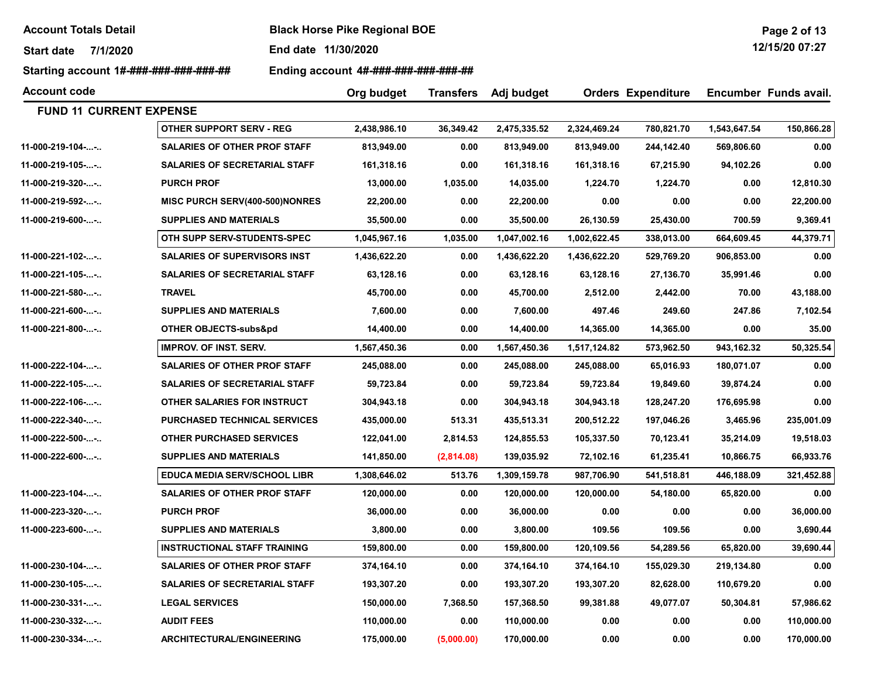Start date 7/1/2020 End date 11/30/2020

Starting account 1#-###-###-###-###-## Ending account 4#-###-###-###-###-##

| <b>Account code</b>            |                                       | Org budget   | <b>Transfers</b> | Adj budget   |              | <b>Orders Expenditure</b> |              | Encumber Funds avail. |
|--------------------------------|---------------------------------------|--------------|------------------|--------------|--------------|---------------------------|--------------|-----------------------|
| <b>FUND 11 CURRENT EXPENSE</b> |                                       |              |                  |              |              |                           |              |                       |
|                                | <b>OTHER SUPPORT SERV - REG</b>       | 2,438,986.10 | 36,349.42        | 2,475,335.52 | 2,324,469.24 | 780,821.70                | 1,543,647.54 | 150,866.28            |
| 11-000-219-104--               | <b>SALARIES OF OTHER PROF STAFF</b>   | 813,949.00   | 0.00             | 813,949.00   | 813,949.00   | 244,142.40                | 569,806.60   | 0.00                  |
| 11-000-219-105--               | <b>SALARIES OF SECRETARIAL STAFF</b>  | 161,318.16   | 0.00             | 161,318.16   | 161,318.16   | 67,215.90                 | 94,102.26    | 0.00                  |
| 11-000-219-320--               | <b>PURCH PROF</b>                     | 13,000.00    | 1,035.00         | 14,035.00    | 1,224.70     | 1,224.70                  | 0.00         | 12,810.30             |
| 11-000-219-592--               | <b>MISC PURCH SERV(400-500)NONRES</b> | 22,200.00    | 0.00             | 22,200.00    | 0.00         | 0.00                      | 0.00         | 22,200.00             |
| 11-000-219-600--               | <b>SUPPLIES AND MATERIALS</b>         | 35,500.00    | 0.00             | 35,500.00    | 26,130.59    | 25,430.00                 | 700.59       | 9,369.41              |
|                                | OTH SUPP SERV-STUDENTS-SPEC           | 1,045,967.16 | 1,035.00         | 1,047,002.16 | 1,002,622.45 | 338,013.00                | 664,609.45   | 44,379.71             |
| 11-000-221-102--               | <b>SALARIES OF SUPERVISORS INST</b>   | 1,436,622.20 | 0.00             | 1,436,622.20 | 1,436,622.20 | 529,769.20                | 906,853.00   | 0.00                  |
| 11-000-221-105--               | <b>SALARIES OF SECRETARIAL STAFF</b>  | 63,128.16    | 0.00             | 63,128.16    | 63,128.16    | 27,136.70                 | 35,991.46    | 0.00                  |
| 11-000-221-580--               | <b>TRAVEL</b>                         | 45,700.00    | 0.00             | 45,700.00    | 2,512.00     | 2,442.00                  | 70.00        | 43,188.00             |
| 11-000-221-600--               | <b>SUPPLIES AND MATERIALS</b>         | 7,600.00     | 0.00             | 7,600.00     | 497.46       | 249.60                    | 247.86       | 7,102.54              |
| 11-000-221-800--               | OTHER OBJECTS-subs&pd                 | 14,400.00    | 0.00             | 14,400.00    | 14,365.00    | 14,365.00                 | 0.00         | 35.00                 |
|                                | <b>IMPROV. OF INST. SERV.</b>         | 1,567,450.36 | 0.00             | 1,567,450.36 | 1,517,124.82 | 573,962.50                | 943,162.32   | 50,325.54             |
| 11-000-222-104--               | <b>SALARIES OF OTHER PROF STAFF</b>   | 245,088.00   | 0.00             | 245,088.00   | 245,088.00   | 65,016.93                 | 180,071.07   | 0.00                  |
| 11-000-222-105--               | SALARIES OF SECRETARIAL STAFF         | 59,723.84    | 0.00             | 59,723.84    | 59,723.84    | 19,849.60                 | 39,874.24    | 0.00                  |
| 11-000-222-106--               | OTHER SALARIES FOR INSTRUCT           | 304,943.18   | 0.00             | 304,943.18   | 304,943.18   | 128,247.20                | 176,695.98   | 0.00                  |
| 11-000-222-340--               | <b>PURCHASED TECHNICAL SERVICES</b>   | 435,000.00   | 513.31           | 435,513.31   | 200,512.22   | 197,046.26                | 3,465.96     | 235,001.09            |
| 11-000-222-500--               | <b>OTHER PURCHASED SERVICES</b>       | 122,041.00   | 2,814.53         | 124,855.53   | 105,337.50   | 70,123.41                 | 35,214.09    | 19,518.03             |
| 11-000-222-600--               | <b>SUPPLIES AND MATERIALS</b>         | 141,850.00   | (2,814.08)       | 139,035.92   | 72,102.16    | 61,235.41                 | 10,866.75    | 66,933.76             |
|                                | <b>EDUCA MEDIA SERV/SCHOOL LIBR</b>   | 1,308,646.02 | 513.76           | 1,309,159.78 | 987,706.90   | 541,518.81                | 446,188.09   | 321,452.88            |
| 11-000-223-104--               | <b>SALARIES OF OTHER PROF STAFF</b>   | 120,000.00   | 0.00             | 120,000.00   | 120,000.00   | 54,180.00                 | 65,820.00    | 0.00                  |
| 11-000-223-320--               | <b>PURCH PROF</b>                     | 36,000.00    | 0.00             | 36,000.00    | 0.00         | 0.00                      | 0.00         | 36,000.00             |
| 11-000-223-600--               | <b>SUPPLIES AND MATERIALS</b>         | 3,800.00     | 0.00             | 3,800.00     | 109.56       | 109.56                    | 0.00         | 3,690.44              |
|                                | <b>INSTRUCTIONAL STAFF TRAINING</b>   | 159,800.00   | 0.00             | 159,800.00   | 120,109.56   | 54,289.56                 | 65,820.00    | 39,690.44             |
| 11-000-230-104--               | <b>SALARIES OF OTHER PROF STAFF</b>   | 374,164.10   | 0.00             | 374,164.10   | 374,164.10   | 155,029.30                | 219,134.80   | 0.00                  |
| 11-000-230-105--               | <b>SALARIES OF SECRETARIAL STAFF</b>  | 193,307.20   | 0.00             | 193,307.20   | 193,307.20   | 82,628.00                 | 110,679.20   | 0.00                  |
| $11-000-230-331$               | <b>LEGAL SERVICES</b>                 | 150,000.00   | 7,368.50         | 157,368.50   | 99,381.88    | 49,077.07                 | 50,304.81    | 57,986.62             |
| 11-000-230-332--               | <b>AUDIT FEES</b>                     | 110,000.00   | 0.00             | 110,000.00   | 0.00         | 0.00                      | 0.00         | 110,000.00            |
| $11-000-230-334-$              | <b>ARCHITECTURAL/ENGINEERING</b>      | 175.000.00   | (5.000.00)       | 170.000.00   | 0.00         | 0.00                      | 0.00         | 170.000.00            |

Page 2 of 13 12/15/20 07:27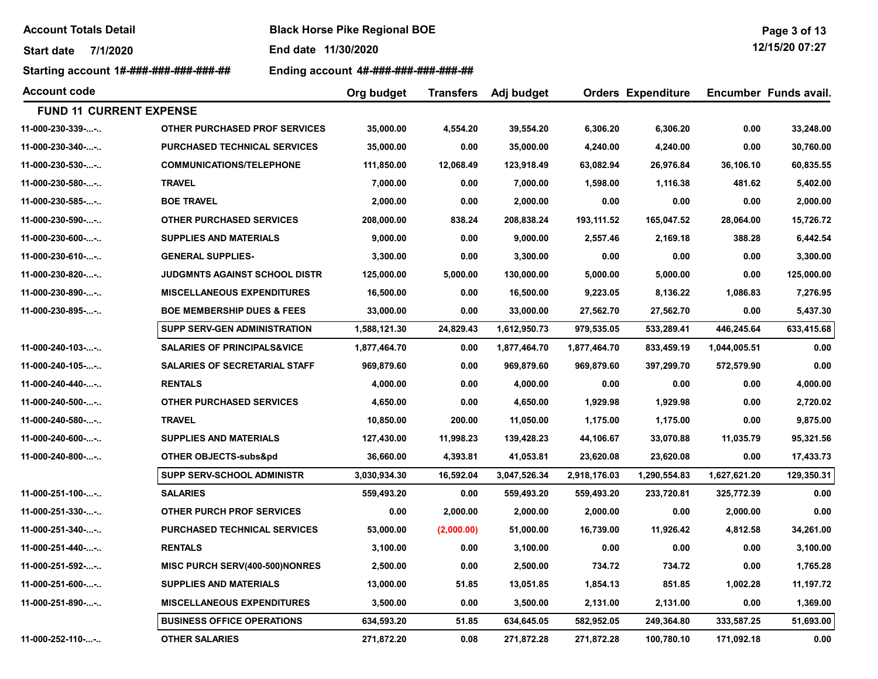Start date 7/1/2020 End date 11/30/2020

Starting account 1#-###-###-###-###-## Ending account 4#-###-###-###-###-###

| Page 3 of 13      |  |  |
|-------------------|--|--|
| $1011$ FIOD 07.07 |  |  |

12/15/20 07:27

| <b>Account code</b>            |                                        | Org budget   | <b>Transfers</b> | Adj budget   |              | <b>Orders Expenditure</b> |              | Encumber Funds avail. |
|--------------------------------|----------------------------------------|--------------|------------------|--------------|--------------|---------------------------|--------------|-----------------------|
| <b>FUND 11 CURRENT EXPENSE</b> |                                        |              |                  |              |              |                           |              |                       |
| 11-000-230-339--               | <b>OTHER PURCHASED PROF SERVICES</b>   | 35,000.00    | 4,554.20         | 39,554.20    | 6,306.20     | 6,306.20                  | 0.00         | 33,248.00             |
| 11-000-230-340--               | <b>PURCHASED TECHNICAL SERVICES</b>    | 35,000.00    | 0.00             | 35,000.00    | 4,240.00     | 4,240.00                  | 0.00         | 30,760.00             |
| 11-000-230-530--               | <b>COMMUNICATIONS/TELEPHONE</b>        | 111,850.00   | 12,068.49        | 123,918.49   | 63,082.94    | 26,976.84                 | 36.106.10    | 60,835.55             |
| 11-000-230-580--               | <b>TRAVEL</b>                          | 7,000.00     | 0.00             | 7,000.00     | 1,598.00     | 1,116.38                  | 481.62       | 5,402.00              |
| 11-000-230-585--               | <b>BOE TRAVEL</b>                      | 2,000.00     | 0.00             | 2,000.00     | 0.00         | 0.00                      | 0.00         | 2,000.00              |
| 11-000-230-590--               | <b>OTHER PURCHASED SERVICES</b>        | 208,000.00   | 838.24           | 208,838.24   | 193,111.52   | 165,047.52                | 28,064.00    | 15,726.72             |
| 11-000-230-600--               | <b>SUPPLIES AND MATERIALS</b>          | 9,000.00     | 0.00             | 9,000.00     | 2,557.46     | 2,169.18                  | 388.28       | 6,442.54              |
| 11-000-230-610--               | <b>GENERAL SUPPLIES-</b>               | 3,300.00     | 0.00             | 3,300.00     | 0.00         | 0.00                      | 0.00         | 3,300.00              |
| 11-000-230-820--               | <b>JUDGMNTS AGAINST SCHOOL DISTR</b>   | 125,000.00   | 5,000.00         | 130,000.00   | 5,000.00     | 5,000.00                  | 0.00         | 125,000.00            |
| 11-000-230-890--               | <b>MISCELLANEOUS EXPENDITURES</b>      | 16,500.00    | 0.00             | 16,500.00    | 9,223.05     | 8,136.22                  | 1,086.83     | 7,276.95              |
| 11-000-230-895--               | <b>BOE MEMBERSHIP DUES &amp; FEES</b>  | 33,000.00    | 0.00             | 33,000.00    | 27,562.70    | 27,562.70                 | 0.00         | 5,437.30              |
|                                | SUPP SERV-GEN ADMINISTRATION           | 1,588,121.30 | 24,829.43        | 1,612,950.73 | 979,535.05   | 533,289.41                | 446,245.64   | 633,415.68            |
| 11-000-240-103--               | <b>SALARIES OF PRINCIPALS&amp;VICE</b> | 1,877,464.70 | 0.00             | 1,877,464.70 | 1,877,464.70 | 833,459.19                | 1,044,005.51 | 0.00                  |
| 11-000-240-105--               | <b>SALARIES OF SECRETARIAL STAFF</b>   | 969,879.60   | 0.00             | 969,879.60   | 969,879.60   | 397,299.70                | 572,579.90   | 0.00                  |
| 11-000-240-440--               | <b>RENTALS</b>                         | 4,000.00     | 0.00             | 4,000.00     | 0.00         | 0.00                      | 0.00         | 4,000.00              |
| 11-000-240-500--               | <b>OTHER PURCHASED SERVICES</b>        | 4,650.00     | 0.00             | 4,650.00     | 1,929.98     | 1,929.98                  | 0.00         | 2,720.02              |
| 11-000-240-580--               | <b>TRAVEL</b>                          | 10,850.00    | 200.00           | 11,050.00    | 1,175.00     | 1,175.00                  | 0.00         | 9,875.00              |
| 11-000-240-600--               | <b>SUPPLIES AND MATERIALS</b>          | 127,430.00   | 11,998.23        | 139,428.23   | 44,106.67    | 33,070.88                 | 11,035.79    | 95,321.56             |
| 11-000-240-800--               | OTHER OBJECTS-subs&pd                  | 36,660.00    | 4,393.81         | 41,053.81    | 23,620.08    | 23,620.08                 | 0.00         | 17,433.73             |
|                                | <b>SUPP SERV-SCHOOL ADMINISTR</b>      | 3,030,934.30 | 16,592.04        | 3,047,526.34 | 2,918,176.03 | 1,290,554.83              | 1,627,621.20 | 129,350.31            |
| 11-000-251-100--               | <b>SALARIES</b>                        | 559,493.20   | 0.00             | 559,493.20   | 559,493.20   | 233,720.81                | 325,772.39   | 0.00                  |
| 11-000-251-330--               | <b>OTHER PURCH PROF SERVICES</b>       | 0.00         | 2,000.00         | 2,000.00     | 2,000.00     | 0.00                      | 2,000.00     | 0.00                  |
| 11-000-251-340--               | <b>PURCHASED TECHNICAL SERVICES</b>    | 53,000.00    | (2,000.00)       | 51,000.00    | 16,739.00    | 11,926.42                 | 4,812.58     | 34,261.00             |
| 11-000-251-440--               | <b>RENTALS</b>                         | 3,100.00     | 0.00             | 3,100.00     | 0.00         | 0.00                      | 0.00         | 3,100.00              |
| 11-000-251-592--               | MISC PURCH SERV(400-500)NONRES         | 2,500.00     | 0.00             | 2,500.00     | 734.72       | 734.72                    | 0.00         | 1,765.28              |
| 11-000-251-600--               | <b>SUPPLIES AND MATERIALS</b>          | 13,000.00    | 51.85            | 13,051.85    | 1,854.13     | 851.85                    | 1,002.28     | 11,197.72             |
| 11-000-251-890--               | <b>MISCELLANEOUS EXPENDITURES</b>      | 3,500.00     | 0.00             | 3,500.00     | 2,131.00     | 2,131.00                  | 0.00         | 1,369.00              |
|                                | <b>BUSINESS OFFICE OPERATIONS</b>      | 634,593.20   | 51.85            | 634,645.05   | 582,952.05   | 249,364.80                | 333,587.25   | 51,693.00             |
| 11-000-252-110--               | <b>OTHER SALARIES</b>                  | 271,872.20   | 0.08             | 271,872.28   | 271,872.28   | 100,780.10                | 171,092.18   | 0.00                  |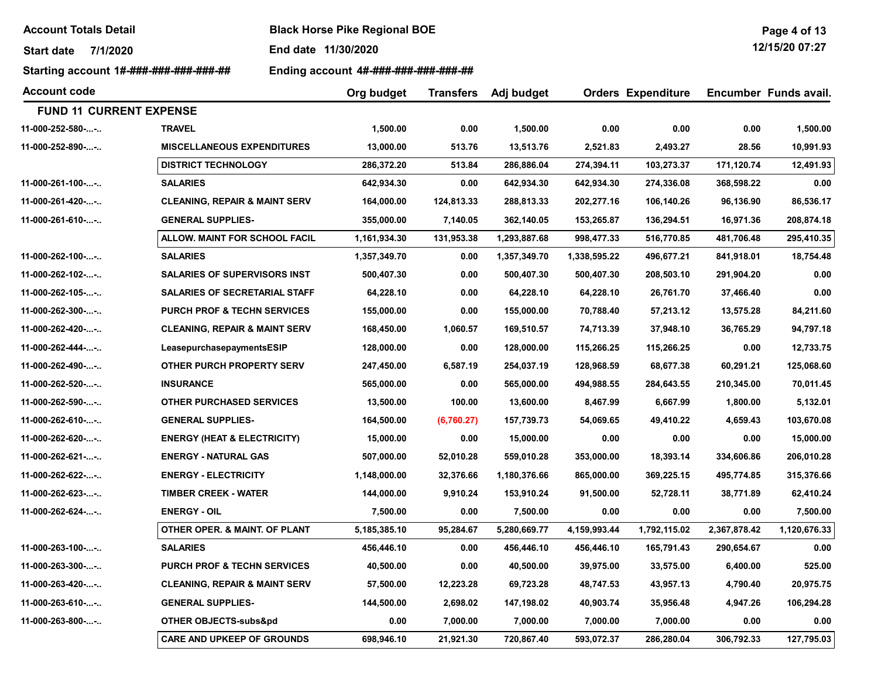Start date 7/1/2020 End date 11/30/2020

Starting account 1#-###-###-###-###-## Ending account 4#-###-###-###-###-###

| <b>Account code</b>            |                                          | Org budget   | <b>Transfers</b> | Adj budget   | <b>Orders Expenditure</b> |              |              | Encumber Funds avail. |
|--------------------------------|------------------------------------------|--------------|------------------|--------------|---------------------------|--------------|--------------|-----------------------|
| <b>FUND 11 CURRENT EXPENSE</b> |                                          |              |                  |              |                           |              |              |                       |
| 11-000-252-580--               | <b>TRAVEL</b>                            | 1,500.00     | 0.00             | 1,500.00     | 0.00                      | 0.00         | 0.00         | 1,500.00              |
| 11-000-252-890--               | <b>MISCELLANEOUS EXPENDITURES</b>        | 13,000.00    | 513.76           | 13,513.76    | 2,521.83                  | 2,493.27     | 28.56        | 10,991.93             |
|                                | <b>DISTRICT TECHNOLOGY</b>               | 286,372.20   | 513.84           | 286,886.04   | 274,394.11                | 103,273.37   | 171,120.74   | 12,491.93             |
| 11-000-261-100--               | <b>SALARIES</b>                          | 642,934.30   | 0.00             | 642,934.30   | 642,934.30                | 274,336.08   | 368,598.22   | 0.00                  |
| 11-000-261-420--               | <b>CLEANING, REPAIR &amp; MAINT SERV</b> | 164,000.00   | 124,813.33       | 288,813.33   | 202,277.16                | 106,140.26   | 96,136.90    | 86,536.17             |
| 11-000-261-610--               | <b>GENERAL SUPPLIES-</b>                 | 355,000.00   | 7,140.05         | 362,140.05   | 153,265.87                | 136,294.51   | 16,971.36    | 208,874.18            |
|                                | ALLOW. MAINT FOR SCHOOL FACIL            | 1,161,934.30 | 131,953.38       | 1,293,887.68 | 998,477.33                | 516,770.85   | 481,706.48   | 295,410.35            |
| 11-000-262-100--               | <b>SALARIES</b>                          | 1,357,349.70 | 0.00             | 1,357,349.70 | 1,338,595.22              | 496,677.21   | 841,918.01   | 18,754.48             |
| 11-000-262-102--               | <b>SALARIES OF SUPERVISORS INST</b>      | 500,407.30   | 0.00             | 500,407.30   | 500,407.30                | 208,503.10   | 291,904.20   | 0.00                  |
| 11-000-262-105--               | <b>SALARIES OF SECRETARIAL STAFF</b>     | 64,228.10    | 0.00             | 64,228.10    | 64,228.10                 | 26,761.70    | 37,466.40    | 0.00                  |
| 11-000-262-300--               | <b>PURCH PROF &amp; TECHN SERVICES</b>   | 155,000.00   | 0.00             | 155,000.00   | 70,788.40                 | 57,213.12    | 13,575.28    | 84,211.60             |
| 11-000-262-420--               | CLEANING, REPAIR & MAINT SERV            | 168,450.00   | 1,060.57         | 169,510.57   | 74,713.39                 | 37,948.10    | 36,765.29    | 94,797.18             |
| 11-000-262-444--               | LeasepurchasepaymentsESIP                | 128,000.00   | 0.00             | 128,000.00   | 115,266.25                | 115,266.25   | 0.00         | 12,733.75             |
| 11-000-262-490--               | OTHER PURCH PROPERTY SERV                | 247,450.00   | 6,587.19         | 254,037.19   | 128,968.59                | 68,677.38    | 60,291.21    | 125,068.60            |
| 11-000-262-520--               | <b>INSURANCE</b>                         | 565,000.00   | 0.00             | 565,000.00   | 494,988.55                | 284,643.55   | 210,345.00   | 70,011.45             |
| 11-000-262-590--               | <b>OTHER PURCHASED SERVICES</b>          | 13,500.00    | 100.00           | 13,600.00    | 8,467.99                  | 6,667.99     | 1,800.00     | 5,132.01              |
| 11-000-262-610--               | <b>GENERAL SUPPLIES-</b>                 | 164,500.00   | (6,760.27)       | 157,739.73   | 54,069.65                 | 49,410.22    | 4,659.43     | 103,670.08            |
| 11-000-262-620--               | <b>ENERGY (HEAT &amp; ELECTRICITY)</b>   | 15,000.00    | 0.00             | 15,000.00    | 0.00                      | 0.00         | 0.00         | 15,000.00             |
| 11-000-262-621--               | <b>ENERGY - NATURAL GAS</b>              | 507,000.00   | 52,010.28        | 559,010.28   | 353,000.00                | 18,393.14    | 334,606.86   | 206,010.28            |
| 11-000-262-622--               | <b>ENERGY - ELECTRICITY</b>              | 1,148,000.00 | 32,376.66        | 1,180,376.66 | 865,000.00                | 369,225.15   | 495,774.85   | 315,376.66            |
| 11-000-262-623--               | <b>TIMBER CREEK - WATER</b>              | 144,000.00   | 9,910.24         | 153,910.24   | 91,500.00                 | 52,728.11    | 38,771.89    | 62,410.24             |
| 11-000-262-624--               | <b>ENERGY - OIL</b>                      | 7,500.00     | 0.00             | 7,500.00     | 0.00                      | 0.00         | 0.00         | 7,500.00              |
|                                | OTHER OPER. & MAINT. OF PLANT            | 5,185,385.10 | 95,284.67        | 5,280,669.77 | 4,159,993.44              | 1,792,115.02 | 2,367,878.42 | 1,120,676.33          |
| 11-000-263-100--               | <b>SALARIES</b>                          | 456,446.10   | 0.00             | 456,446.10   | 456,446.10                | 165,791.43   | 290,654.67   | 0.00                  |
| 11-000-263-300--               | <b>PURCH PROF &amp; TECHN SERVICES</b>   | 40,500.00    | 0.00             | 40,500.00    | 39,975.00                 | 33,575.00    | 6,400.00     | 525.00                |
| 11-000-263-420--               | <b>CLEANING, REPAIR &amp; MAINT SERV</b> | 57,500.00    | 12,223.28        | 69,723.28    | 48,747.53                 | 43,957.13    | 4,790.40     | 20,975.75             |
| 11-000-263-610--               | <b>GENERAL SUPPLIES-</b>                 | 144,500.00   | 2,698.02         | 147,198.02   | 40,903.74                 | 35,956.48    | 4,947.26     | 106,294.28            |
| 11-000-263-800--               | OTHER OBJECTS-subs&pd                    | 0.00         | 7,000.00         | 7,000.00     | 7,000.00                  | 7,000.00     | 0.00         | 0.00                  |
|                                | <b>CARE AND UPKEEP OF GROUNDS</b>        | 698,946.10   | 21,921.30        | 720,867.40   | 593,072.37                | 286,280.04   | 306,792.33   | 127,795.03            |

Page 4 of 13 12/15/20 07:27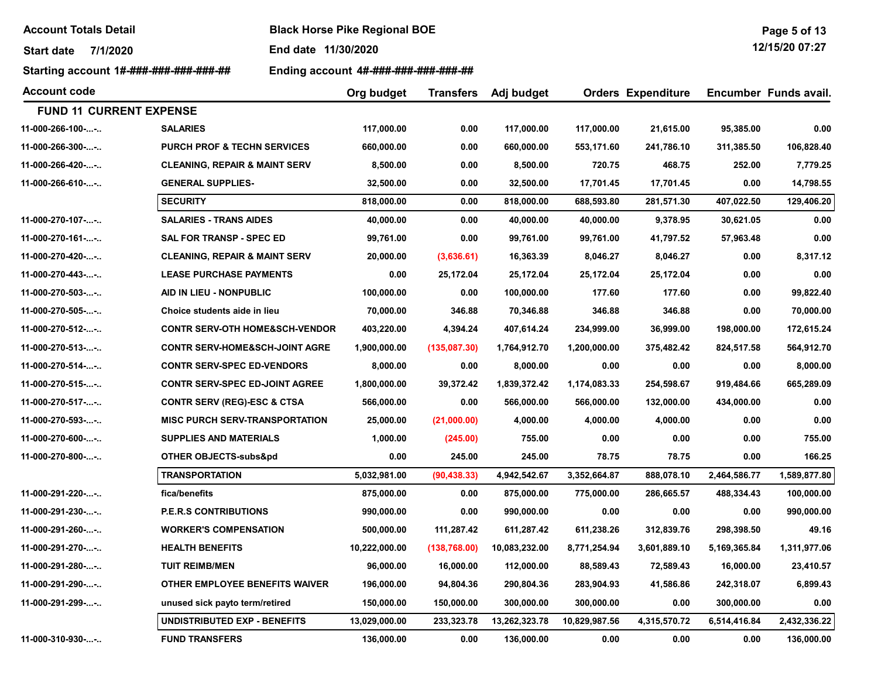Start date 7/1/2020 End date 11/30/2020

Starting account 1#-###-###-###-###-## Ending account 4#-###-###-###-###-###

| Page 5 of 13      |  |  |
|-------------------|--|--|
| $1011$ FIAA AT AT |  |  |

12/15/20 07:27

| <b>Account code</b>            |                                           | Org budget    | <b>Transfers</b> | Adj budget    |               | <b>Orders Expenditure</b> |              | Encumber Funds avail. |
|--------------------------------|-------------------------------------------|---------------|------------------|---------------|---------------|---------------------------|--------------|-----------------------|
| <b>FUND 11 CURRENT EXPENSE</b> |                                           |               |                  |               |               |                           |              |                       |
| 11-000-266-100--               | <b>SALARIES</b>                           | 117,000.00    | 0.00             | 117,000.00    | 117,000.00    | 21,615.00                 | 95,385.00    | 0.00                  |
| 11-000-266-300--               | <b>PURCH PROF &amp; TECHN SERVICES</b>    | 660,000.00    | 0.00             | 660,000.00    | 553,171.60    | 241,786.10                | 311,385.50   | 106,828.40            |
| 11-000-266-420--               | <b>CLEANING, REPAIR &amp; MAINT SERV</b>  | 8,500.00      | 0.00             | 8,500.00      | 720.75        | 468.75                    | 252.00       | 7,779.25              |
| 11-000-266-610--               | <b>GENERAL SUPPLIES-</b>                  | 32,500.00     | 0.00             | 32,500.00     | 17,701.45     | 17,701.45                 | 0.00         | 14,798.55             |
|                                | <b>SECURITY</b>                           | 818,000.00    | 0.00             | 818,000.00    | 688,593.80    | 281,571.30                | 407,022.50   | 129,406.20            |
| 11-000-270-107--               | <b>SALARIES - TRANS AIDES</b>             | 40,000.00     | 0.00             | 40,000.00     | 40,000.00     | 9,378.95                  | 30,621.05    | 0.00                  |
| 11-000-270-161--               | SAL FOR TRANSP - SPEC ED                  | 99,761.00     | 0.00             | 99,761.00     | 99,761.00     | 41,797.52                 | 57,963.48    | 0.00                  |
| 11-000-270-420--               | <b>CLEANING, REPAIR &amp; MAINT SERV</b>  | 20,000.00     | (3,636.61)       | 16,363.39     | 8,046.27      | 8,046.27                  | 0.00         | 8,317.12              |
| 11-000-270-443--               | <b>LEASE PURCHASE PAYMENTS</b>            | 0.00          | 25,172.04        | 25,172.04     | 25,172.04     | 25,172.04                 | 0.00         | 0.00                  |
| 11-000-270-503--               | AID IN LIEU - NONPUBLIC                   | 100,000.00    | 0.00             | 100,000.00    | 177.60        | 177.60                    | 0.00         | 99,822.40             |
| 11-000-270-505--               | Choice students aide in lieu              | 70,000.00     | 346.88           | 70,346.88     | 346.88        | 346.88                    | 0.00         | 70,000.00             |
| 11-000-270-512--               | <b>CONTR SERV-OTH HOME&amp;SCH-VENDOR</b> | 403,220.00    | 4,394.24         | 407,614.24    | 234,999.00    | 36,999.00                 | 198,000.00   | 172,615.24            |
| $11-000-270-513-$ -            | <b>CONTR SERV-HOME&amp;SCH-JOINT AGRE</b> | 1,900,000.00  | (135,087.30)     | 1,764,912.70  | 1,200,000.00  | 375,482.42                | 824,517.58   | 564,912.70            |
| 11-000-270-514--               | <b>CONTR SERV-SPEC ED-VENDORS</b>         | 8,000.00      | 0.00             | 8,000.00      | 0.00          | 0.00                      | 0.00         | 8,000.00              |
| 11-000-270-515--               | <b>CONTR SERV-SPEC ED-JOINT AGREE</b>     | 1,800,000.00  | 39,372.42        | 1,839,372.42  | 1,174,083.33  | 254,598.67                | 919,484.66   | 665,289.09            |
| 11-000-270-517--               | <b>CONTR SERV (REG)-ESC &amp; CTSA</b>    | 566,000.00    | 0.00             | 566,000.00    | 566,000.00    | 132,000.00                | 434,000.00   | 0.00                  |
| 11-000-270-593--               | <b>MISC PURCH SERV-TRANSPORTATION</b>     | 25,000.00     | (21,000.00)      | 4,000.00      | 4,000.00      | 4,000.00                  | 0.00         | 0.00                  |
| 11-000-270-600--               | <b>SUPPLIES AND MATERIALS</b>             | 1,000.00      | (245.00)         | 755.00        | 0.00          | 0.00                      | 0.00         | 755.00                |
| 11-000-270-800--               | OTHER OBJECTS-subs&pd                     | 0.00          | 245.00           | 245.00        | 78.75         | 78.75                     | 0.00         | 166.25                |
|                                | <b>TRANSPORTATION</b>                     | 5,032,981.00  | (90, 438.33)     | 4,942,542.67  | 3,352,664.87  | 888,078.10                | 2,464,586.77 | 1,589,877.80          |
| 11-000-291-220--               | fica/benefits                             | 875,000.00    | 0.00             | 875,000.00    | 775,000.00    | 286,665.57                | 488,334.43   | 100,000.00            |
| 11-000-291-230--               | <b>P.E.R.S CONTRIBUTIONS</b>              | 990,000.00    | 0.00             | 990,000.00    | 0.00          | 0.00                      | 0.00         | 990,000.00            |
| 11-000-291-260--               | <b>WORKER'S COMPENSATION</b>              | 500,000.00    | 111,287.42       | 611,287.42    | 611,238.26    | 312,839.76                | 298,398.50   | 49.16                 |
| 11-000-291-270--               | <b>HEALTH BENEFITS</b>                    | 10,222,000.00 | (138, 768.00)    | 10,083,232.00 | 8,771,254.94  | 3,601,889.10              | 5,169,365.84 | 1,311,977.06          |
| 11-000-291-280--               | <b>TUIT REIMB/MEN</b>                     | 96,000.00     | 16,000.00        | 112,000.00    | 88,589.43     | 72,589.43                 | 16,000.00    | 23,410.57             |
| 11-000-291-290--               | OTHER EMPLOYEE BENEFITS WAIVER            | 196,000.00    | 94,804.36        | 290,804.36    | 283,904.93    | 41,586.86                 | 242,318.07   | 6,899.43              |
| 11-000-291-299--               | unused sick payto term/retired            | 150,000.00    | 150,000.00       | 300,000.00    | 300,000.00    | 0.00                      | 300,000.00   | 0.00                  |
|                                | <b>UNDISTRIBUTED EXP - BENEFITS</b>       | 13,029,000.00 | 233,323.78       | 13,262,323.78 | 10,829,987.56 | 4,315,570.72              | 6,514,416.84 | 2,432,336.22          |
| 11-000-310-930--               | <b>FUND TRANSFERS</b>                     | 136,000.00    | 0.00             | 136,000.00    | 0.00          | 0.00                      | 0.00         | 136,000.00            |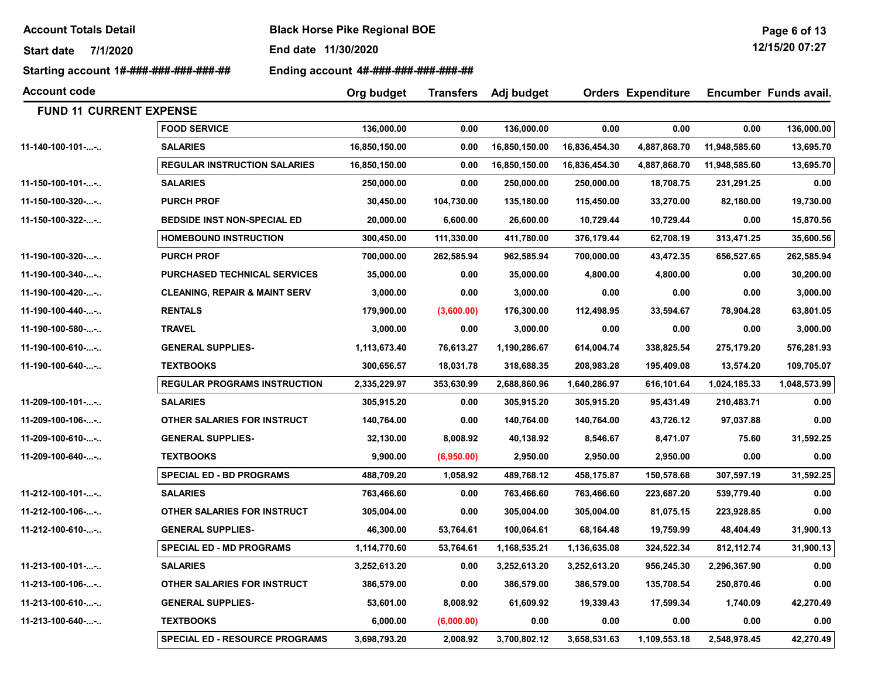Start date 7/1/2020 End date 11/30/2020

Starting account 1#-###-###-###-###-## Finding account 4#-###-###-###-###-###-##

Account code Adj budget Orders Expenditure Encumber Funds avail. Org budget Transfers FUND 11 CURRENT EXPENSE FOOD SERVICE 136,000.00 0.00 136,000.00 0.00 0.00 0.00 136,000.00 11-140-100-101-...-.. SALARIES 16,850,150.00 0.00 16,850,150.00 16,836,454.30 4,887,868.70 11,948,585.60 13,695.70 REGULAR INSTRUCTION SALARIES 16,850,150.00 0.00 16,850,150.00 16,836,454.30 4,887,868.70 11,948,585.60 13,695.70 11-150-100-101-...-.. SALARIES 250,000.00 0.00 250,000.00 250,000.00 18,708.75 231,291.25 0.00 11-150-100-320-...-.. PURCH PROF 30,450.00 104,730.00 135,180.00 115,450.00 33,270.00 82,180.00 19,730.00 11-150-100-322-...-.. BEDSIDE INST NON-SPECIAL ED 20,000.00 6,600.00 26,600.00 10,729.44 10,729.44 0.00 15,870.56 HOMEBOUND INSTRUCTION 300,450.00 111,330.00 411,780.00 376,179.44 62,708.19 313,471.25 35,600.56 11-190-100-320-...-.. PURCH PROF 700,000.00 262,585.94 962,585.94 700,000.00 43,472.35 656,527.65 262,585.94 11-190-100-340-...-.. PURCHASED TECHNICAL SERVICES 35,000.00 0.00 35,000.00 4,800.00 4,800.00 0.00 30,200.00 11-190-100-420-...-.. CLEANING, REPAIR & MAINT SERV 3,000.00 0.00 3,000.00 0.00 0.00 0.00 3,000.00 11-190-100-440-...-.. RENTALS 179,900.00 (3,600.00) 176,300.00 112,498.95 33,594.67 78,904.28 63,801.05 11-190-100-580-...-.. TRAVEL 3,000.00 0.00 3,000.00 0.00 0.00 0.00 3,000.00 11-190-100-610-...-.. GENERAL SUPPLIES- 1,113,673.40 76,613.27 1,190,286.67 614,004.74 338,825.54 275,179.20 576,281.93 11-190-100-640-...-.. TEXTBOOKS 300,656.57 18,031.78 318,688.35 208,983.28 195,409.08 13,574.20 109,705.07 REGULAR PROGRAMS INSTRUCTION 2,335,229.97 353,630.99 2,688,860.96 1,640,286.97 616,101.64 1,024,185.33 1,048,573.99 11-209-100-101-...-.. SALARIES 305,915.20 0.00 305,915.20 305,915.20 95,431.49 210,483.71 0.00 11-209-100-106-...-.. OTHER SALARIES FOR INSTRUCT 140,764.00 0.00 140,764.00 140,764.00 43,726.12 97,037.88 0.00 11-209-100-610-...-.. GENERAL SUPPLIES- 32,130.00 8,008.92 40,138.92 8,546.67 8,471.07 75.60 31,592.25 11-209-100-640-...-.. TEXTBOOKS 9,900.00 (6,950.00) 2,950.00 2,950.00 2,950.00 0.00 0.00 SPECIAL ED - BD PROGRAMS 488,709.20 1,058.92 489,768.12 458,175.87 150,578.68 307,597.19 31,592.25 11-212-100-101-...-.. SALARIES 763,466.60 0.00 763,466.60 763,466.60 223,687.20 539,779.40 0.00 11-212-100-106-...-.. OTHER SALARIES FOR INSTRUCT 305,004.00 0.00 305,004.00 305,004.00 81,075.15 223,928.85 0.00 11-212-100-610-...-.. GENERAL SUPPLIES- 46,300.00 53,764.61 100,064.61 68,164.48 19,759.99 48,404.49 31,900.13 SPECIAL ED - MD PROGRAMS 1,114,770.60 53,764.61 1,168,535.21 1,136,635.08 324,522.34 812,112.74 31,900.13 11-213-100-101-...-.. SALARIES 3,252,613.20 0.00 3,252,613.20 3,252,613.20 956,245.30 2,296,367.90 0.00 11-213-100-106-...-.. OTHER SALARIES FOR INSTRUCT 386,579.00 0.00 386,579.00 386,579.00 135,708.54 250,870.46 0.00 11-213-100-610-...-.. GENERAL SUPPLIES- 53,601.00 8,008.92 61,609.92 19,339.43 17,599.34 1,740.09 42,270.49 11-213-100-640-...-.. TEXTBOOKS 6,000.00 (6,000.00) 0.00 0.00 0.00 0.00 0.00 SPECIAL ED - RESOURCE PROGRAMS 3,698,793.20 2,008.92 3,700,802.12 3,658,531.63 1,109,553.18 2,548,978.45 42,270.49

Page 6 of 13 12/15/20 07:27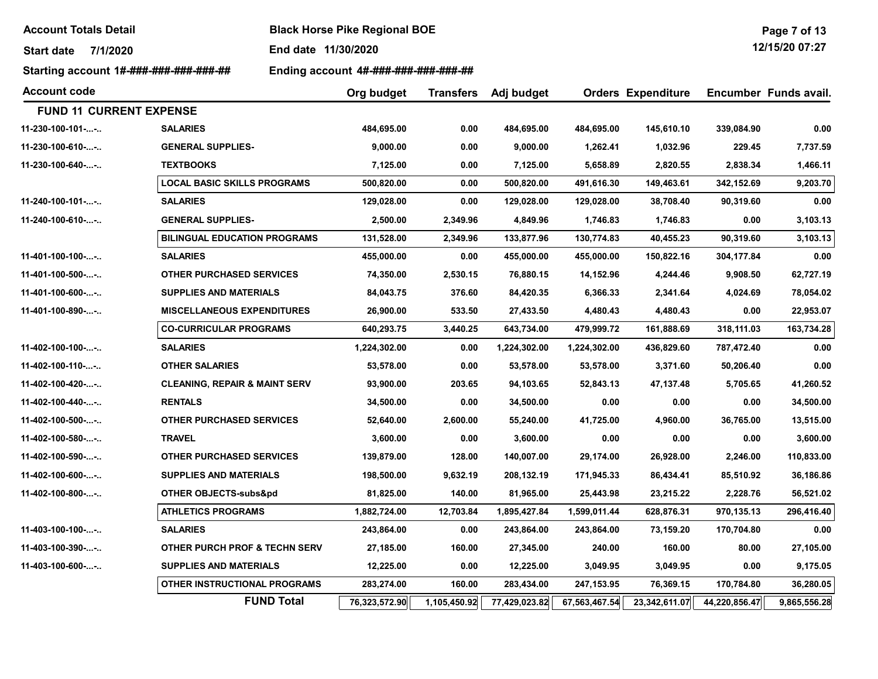Start date 7/1/2020 End date 11/30/2020

Starting account 1#-###-###-###-###-### Ending account 4#-###-###-###-###-###

| <b>Account code</b>            |                                          | Org budget    | <b>Transfers</b> | Adj budget    |               | <b>Orders Expenditure</b> |               | Encumber Funds avail. |
|--------------------------------|------------------------------------------|---------------|------------------|---------------|---------------|---------------------------|---------------|-----------------------|
| <b>FUND 11 CURRENT EXPENSE</b> |                                          |               |                  |               |               |                           |               |                       |
| 11-230-100-101--               | <b>SALARIES</b>                          | 484,695.00    | 0.00             | 484,695.00    | 484,695.00    | 145,610.10                | 339,084.90    | 0.00                  |
| 11-230-100-610--               | <b>GENERAL SUPPLIES-</b>                 | 9,000.00      | 0.00             | 9,000.00      | 1,262.41      | 1,032.96                  | 229.45        | 7,737.59              |
| 11-230-100-640--               | <b>TEXTBOOKS</b>                         | 7,125.00      | 0.00             | 7,125.00      | 5,658.89      | 2,820.55                  | 2,838.34      | 1,466.11              |
|                                | <b>LOCAL BASIC SKILLS PROGRAMS</b>       | 500,820.00    | 0.00             | 500,820.00    | 491,616.30    | 149,463.61                | 342,152.69    | 9,203.70              |
| 11-240-100-101--               | <b>SALARIES</b>                          | 129,028.00    | 0.00             | 129,028.00    | 129,028.00    | 38,708.40                 | 90,319.60     | 0.00                  |
| 11-240-100-610--               | <b>GENERAL SUPPLIES-</b>                 | 2,500.00      | 2,349.96         | 4,849.96      | 1,746.83      | 1,746.83                  | 0.00          | 3,103.13              |
|                                | <b>BILINGUAL EDUCATION PROGRAMS</b>      | 131,528.00    | 2,349.96         | 133,877.96    | 130,774.83    | 40,455.23                 | 90,319.60     | 3,103.13              |
| 11-401-100-100--               | <b>SALARIES</b>                          | 455,000.00    | 0.00             | 455,000.00    | 455,000.00    | 150,822.16                | 304,177.84    | 0.00                  |
| 11-401-100-500--               | <b>OTHER PURCHASED SERVICES</b>          | 74,350.00     | 2,530.15         | 76,880.15     | 14,152.96     | 4,244.46                  | 9,908.50      | 62,727.19             |
| 11-401-100-600--               | <b>SUPPLIES AND MATERIALS</b>            | 84,043.75     | 376.60           | 84,420.35     | 6,366.33      | 2,341.64                  | 4,024.69      | 78,054.02             |
| 11-401-100-890--               | <b>MISCELLANEOUS EXPENDITURES</b>        | 26,900.00     | 533.50           | 27,433.50     | 4,480.43      | 4,480.43                  | 0.00          | 22,953.07             |
|                                | <b>CO-CURRICULAR PROGRAMS</b>            | 640,293.75    | 3,440.25         | 643,734.00    | 479,999.72    | 161,888.69                | 318,111.03    | 163,734.28            |
| $11-402-100-100-$              | <b>SALARIES</b>                          | 1,224,302.00  | 0.00             | 1,224,302.00  | 1,224,302.00  | 436,829.60                | 787,472.40    | 0.00                  |
| 11-402-100-110--               | <b>OTHER SALARIES</b>                    | 53,578.00     | 0.00             | 53,578.00     | 53,578.00     | 3,371.60                  | 50,206.40     | 0.00                  |
| 11-402-100-420--               | <b>CLEANING, REPAIR &amp; MAINT SERV</b> | 93,900.00     | 203.65           | 94,103.65     | 52,843.13     | 47,137.48                 | 5,705.65      | 41,260.52             |
| 11-402-100-440--               | <b>RENTALS</b>                           | 34,500.00     | 0.00             | 34,500.00     | 0.00          | 0.00                      | 0.00          | 34,500.00             |
| 11-402-100-500--               | <b>OTHER PURCHASED SERVICES</b>          | 52,640.00     | 2,600.00         | 55,240.00     | 41,725.00     | 4,960.00                  | 36,765.00     | 13,515.00             |
| 11-402-100-580--               | <b>TRAVEL</b>                            | 3,600.00      | 0.00             | 3,600.00      | 0.00          | 0.00                      | 0.00          | 3,600.00              |
| 11-402-100-590--               | <b>OTHER PURCHASED SERVICES</b>          | 139,879.00    | 128.00           | 140,007.00    | 29,174.00     | 26,928.00                 | 2,246.00      | 110,833.00            |
| 11-402-100-600--               | <b>SUPPLIES AND MATERIALS</b>            | 198,500.00    | 9,632.19         | 208,132.19    | 171,945.33    | 86,434.41                 | 85,510.92     | 36,186.86             |
| 11-402-100-800--               | OTHER OBJECTS-subs&pd                    | 81,825.00     | 140.00           | 81,965.00     | 25,443.98     | 23,215.22                 | 2,228.76      | 56,521.02             |
|                                | <b>ATHLETICS PROGRAMS</b>                | 1,882,724.00  | 12,703.84        | 1,895,427.84  | 1,599,011.44  | 628,876.31                | 970,135.13    | 296,416.40            |
| 11-403-100-100--               | <b>SALARIES</b>                          | 243,864.00    | 0.00             | 243,864.00    | 243,864.00    | 73,159.20                 | 170,704.80    | 0.00                  |
| 11-403-100-390--               | <b>OTHER PURCH PROF &amp; TECHN SERV</b> | 27,185.00     | 160.00           | 27,345.00     | 240.00        | 160.00                    | 80.00         | 27,105.00             |
| 11-403-100-600--               | <b>SUPPLIES AND MATERIALS</b>            | 12,225.00     | 0.00             | 12,225.00     | 3,049.95      | 3,049.95                  | 0.00          | 9,175.05              |
|                                | OTHER INSTRUCTIONAL PROGRAMS             | 283,274.00    | 160.00           | 283,434.00    | 247,153.95    | 76,369.15                 | 170,784.80    | 36,280.05             |
|                                | <b>FUND Total</b>                        | 76,323,572.90 | 1,105,450.92     | 77,429,023.82 | 67,563,467.54 | 23,342,611.07             | 44,220,856.47 | 9,865,556.28          |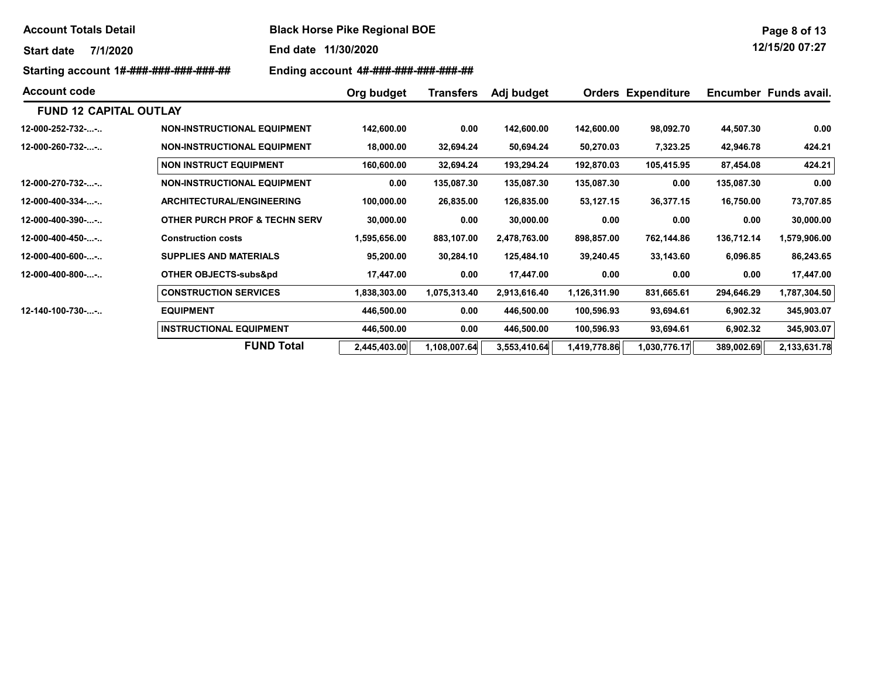| <b>Account Totals Detail</b> |  |
|------------------------------|--|
|------------------------------|--|

**Black Horse Pike Regional BOE** 

Start date 7/1/2020 End date 11/30/2020

Starting account 1#-###-###-###-###-### Ending account 4#-###-###-###-###-###

| <b>Account code</b>           |                                          | Org budget   | <b>Transfers</b> | Adj budget   |              | <b>Orders Expenditure</b> |            | Encumber Funds avail. |
|-------------------------------|------------------------------------------|--------------|------------------|--------------|--------------|---------------------------|------------|-----------------------|
| <b>FUND 12 CAPITAL OUTLAY</b> |                                          |              |                  |              |              |                           |            |                       |
| $12-000-252-732-$             | <b>NON-INSTRUCTIONAL EQUIPMENT</b>       | 142,600.00   | 0.00             | 142,600.00   | 142,600.00   | 98,092.70                 | 44,507.30  | 0.00                  |
| $12 - 000 - 260 - 732 - $     | <b>NON-INSTRUCTIONAL EQUIPMENT</b>       | 18,000.00    | 32,694.24        | 50,694.24    | 50,270.03    | 7,323.25                  | 42,946.78  | 424.21                |
|                               | <b>NON INSTRUCT EQUIPMENT</b>            | 160,600.00   | 32,694.24        | 193,294.24   | 192,870.03   | 105,415.95                | 87,454.08  | 424.21                |
| $12-000-270-732-$             | <b>NON-INSTRUCTIONAL EQUIPMENT</b>       | 0.00         | 135,087.30       | 135,087.30   | 135,087.30   | 0.00                      | 135,087.30 | 0.00                  |
| $12-000-400-334-$             | <b>ARCHITECTURAL/ENGINEERING</b>         | 100,000.00   | 26,835.00        | 126,835.00   | 53,127.15    | 36,377.15                 | 16,750.00  | 73,707.85             |
| 12-000-400-390--              | <b>OTHER PURCH PROF &amp; TECHN SERV</b> | 30,000.00    | 0.00             | 30,000.00    | 0.00         | 0.00                      | 0.00       | 30,000.00             |
| 12-000-400-450--              | <b>Construction costs</b>                | 1,595,656.00 | 883,107.00       | 2,478,763.00 | 898,857.00   | 762,144.86                | 136,712.14 | 1,579,906.00          |
| 12-000-400-600--              | <b>SUPPLIES AND MATERIALS</b>            | 95,200.00    | 30,284.10        | 125,484.10   | 39,240.45    | 33,143.60                 | 6,096.85   | 86,243.65             |
| $12-000-400-800-$             | <b>OTHER OBJECTS-subs&amp;pd</b>         | 17,447.00    | 0.00             | 17,447.00    | 0.00         | 0.00                      | 0.00       | 17,447.00             |
|                               | <b>CONSTRUCTION SERVICES</b>             | 1,838,303.00 | 1,075,313.40     | 2,913,616.40 | 1,126,311.90 | 831,665.61                | 294,646.29 | 1,787,304.50          |
| $12 - 140 - 100 - 730 - $     | <b>EQUIPMENT</b>                         | 446,500.00   | 0.00             | 446,500.00   | 100,596.93   | 93,694.61                 | 6,902.32   | 345,903.07            |
|                               | <b>INSTRUCTIONAL EQUIPMENT</b>           | 446,500.00   | 0.00             | 446,500.00   | 100,596.93   | 93,694.61                 | 6,902.32   | 345,903.07            |
|                               | <b>FUND Total</b>                        | 2,445,403.00 | 1,108,007.64     | 3,553,410.64 | 1,419,778.86 | 1,030,776.17              | 389,002.69 | 2,133,631.78          |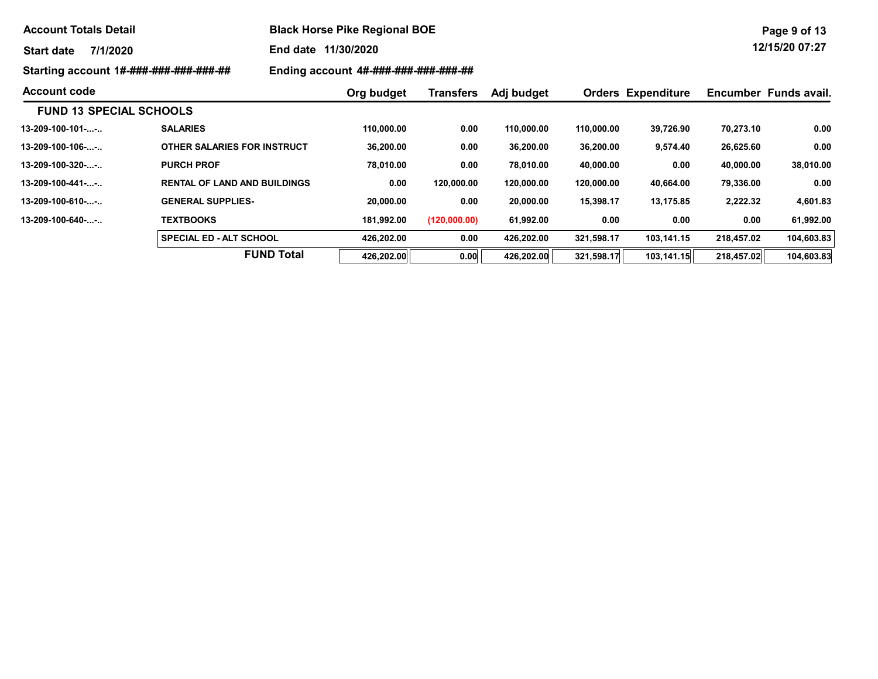| <b>Account Totals Detail</b>           |                                     | <b>Black Horse Pike Regional BOE</b> |                  |            |            |                           |           |                       |  |  |
|----------------------------------------|-------------------------------------|--------------------------------------|------------------|------------|------------|---------------------------|-----------|-----------------------|--|--|
| 7/1/2020<br><b>Start date</b>          |                                     | End date 11/30/2020                  |                  |            |            |                           |           | 12/15/20 07:27        |  |  |
| Starting account 1#-###-###-###-###-## |                                     | Ending account 4#-###-###-###-###-## |                  |            |            |                           |           |                       |  |  |
| <b>Account code</b>                    |                                     | Org budget                           | <b>Transfers</b> | Adj budget |            | <b>Orders Expenditure</b> |           | Encumber Funds avail. |  |  |
| <b>FUND 13 SPECIAL SCHOOLS</b>         |                                     |                                      |                  |            |            |                           |           |                       |  |  |
|                                        | <b>SALARIES</b>                     | 110,000.00                           | 0.00             | 110,000.00 | 110,000.00 | 39,726.90                 | 70,273.10 | 0.00                  |  |  |
| 13-209-100-106--                       | OTHER SALARIES FOR INSTRUCT         | 36,200.00                            | 0.00             | 36,200.00  | 36,200.00  | 9,574.40                  | 26,625.60 | 0.00                  |  |  |
| 13-209-100-320--                       | <b>PURCH PROF</b>                   | 78,010.00                            | 0.00             | 78,010.00  | 40,000.00  | 0.00                      | 40,000.00 | 38,010.00             |  |  |
| 13-209-100-441--                       | <b>RENTAL OF LAND AND BUILDINGS</b> | 0.00                                 | 120.000.00       | 120,000.00 | 120,000.00 | 40,664.00                 | 79,336.00 | 0.00                  |  |  |
| 13-209-100-610--                       | <b>GENERAL SUPPLIES-</b>            | 20,000.00                            | 0.00             | 20,000.00  | 15,398.17  | 13,175.85                 | 2,222.32  | 4,601.83              |  |  |
| 13-209-100-640--                       | <b>TEXTBOOKS</b>                    | 181,992.00                           | (120,000.00)     | 61,992.00  | 0.00       | 0.00                      | 0.00      | 61,992.00             |  |  |

SPECIAL ED - ALT SCHOOL 426,202.00 0.00 426,202.00 321,598.17 103,141.15 218,457.02 104,603.83

FUND Total  $\boxed{426,202.00}$  0.00 426,202.00 321,598.17 103,141.15 218,457.02 104,603.83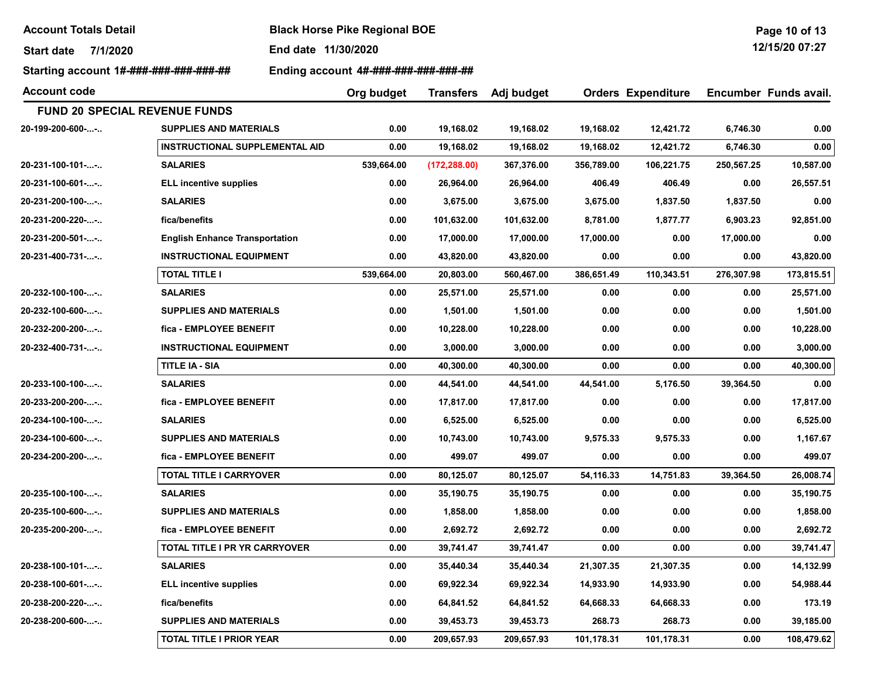Start date 7/1/2020 End date 11/30/2020

Starting account 1#-###-###-###-###-### Finding account 4#-###-###-###-###-###-##

Account code Adj budget Orders Expenditure Encumber Funds avail. Org budget Transfers FUND 20 SPECIAL REVENUE FUNDS 20-199-200-600-...-.. SUPPLIES AND MATERIALS 0.00 19,168.02 19,168.02 19,168.02 12,421.72 6,746.30 0.00 INSTRUCTIONAL SUPPLEMENTAL AID 0.00 19,168.02 19,168.02 19,168.02 12,421.72 6,746.30 0.00 20-231-100-101-...-.. SALARIES 539,664.00 (172,288.00) 367,376.00 356,789.00 106,221.75 250,567.25 10,587.00 20-231-100-601-...-.. ELL incentive supplies 0.00 26,964.00 26,964.00 406.49 406.49 0.00 26,557.51 20-231-200-100-...-.. SALARIES 0.00 3,675.00 3,675.00 3,675.00 1,837.50 1,837.50 0.00 20-231-200-220-...-.. fica/benefits 0.00 101,632.00 101,632.00 8,781.00 1,877.77 6,903.23 92,851.00 20-231-200-501-...-.. English Enhance Transportation 0.00 17,000.00 17,000.00 17,000.00 0.00 17,000.00 0.00 20-231-400-731-...-.. INSTRUCTIONAL EQUIPMENT 0.00 43,820.00 43,820.00 0.00 0.00 0.00 43,820.00 TOTAL TITLE I 539,664.00 20,803.00 560,467.00 386,651.49 110,343.51 276,307.98 173,815.51 20-232-100-100-...-.. SALARIES 0.00 25,571.00 25,571.00 0.00 0.00 0.00 25,571.00 20-232-100-600-...-.. SUPPLIES AND MATERIALS 0.00 1,501.00 1,501.00 0.00 0.00 0.00 1,501.00 20-232-200-200-...-.. fica - EMPLOYEE BENEFIT 0.00 10,228.00 10,228.00 0.00 0.00 0.00 10,228.00 20-232-400-731-...-.. INSTRUCTIONAL EQUIPMENT 0.00 3,000.00 3,000.00 0.00 0.00 0.00 3,000.00 TITLE IA - SIA 0.00 40,300.00 40,300.00 0.00 0.00 0.00 40,300.00 20-233-100-100-...-.. SALARIES 0.00 44,541.00 44,541.00 44,541.00 5,176.50 39,364.50 0.00 20-233-200-200-...-.. fica - EMPLOYEE BENEFIT 0.00 17,817.00 17,817.00 0.00 0.00 0.00 17,817.00 20-234-100-100-...-.. SALARIES 0.00 6,525.00 6,525.00 0.00 0.00 0.00 6,525.00 20-234-100-600-...-.. SUPPLIES AND MATERIALS 0.00 10,743.00 10,743.00 9,575.33 9,575.33 0.00 1,167.67 20-234-200-200-...-.. fica - EMPLOYEE BENEFIT 0.00 499.07 499.07 0.00 0.00 0.00 499.07 TOTAL TITLE I CARRYOVER 0.00 80,125.07 80,125.07 54,116.33 14,751.83 39,364.50 26,008.74 20-235-100-100-...-.. SALARIES 0.00 35,190.75 35,190.75 0.00 0.00 0.00 35,190.75 20-235-100-600-...-.. SUPPLIES AND MATERIALS 0.00 1,858.00 1,858.00 0.00 0.00 0.00 1,858.00 20-235-200-200-...-.. fica - EMPLOYEE BENEFIT 0.00 2,692.72 2,692.72 0.00 0.00 0.00 2,692.72 TOTAL TITLE I PR YR CARRYOVER 0.00 39,741.47 39,741.47 0.00 0.00 0.00 39,741.47 20-238-100-101-...-.. SALARIES 0.00 35,440.34 35,440.34 21,307.35 21,307.35 0.00 14,132.99 20-238-100-601-...-.. ELL incentive supplies 0.00 69,922.34 69,922.34 14,933.90 14,933.90 0.00 54,988.44 20-238-200-220-...-.. fica/benefits 0.00 64,841.52 64,841.52 64,668.33 64,668.33 0.00 173.19

20-238-200-600-...-.. SUPPLIES AND MATERIALS 0.00 39,453.73 39,453.73 268.73 268.73 0.00 39,185.00

TOTAL TITLE I PRIOR YEAR 0.00 209,657.93 209,657.93 101,178.31 101,178.31 0.00 108,479.62

Page 10 of 13 12/15/20 07:27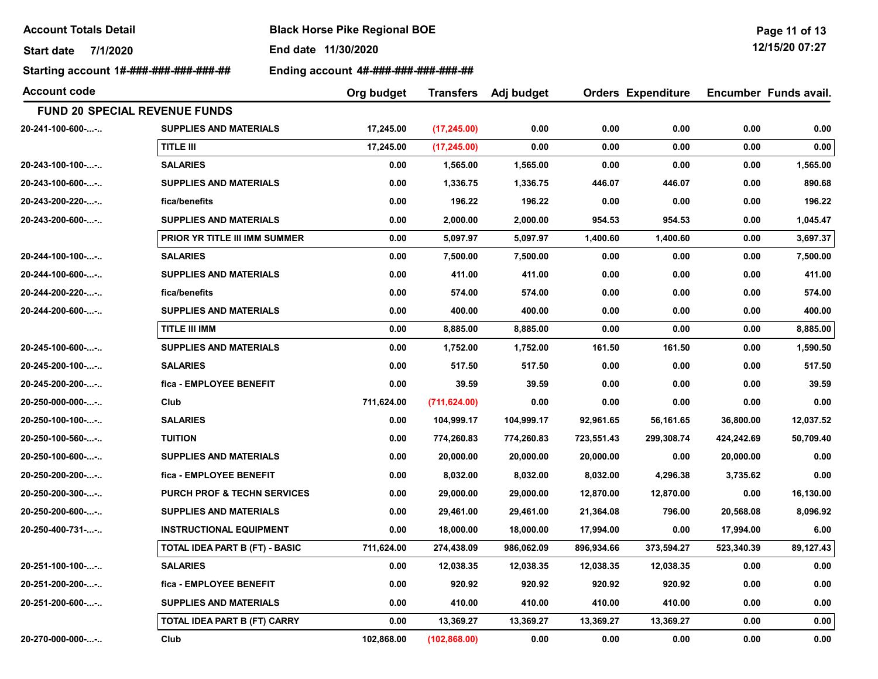Start date 7/1/2020 End date 11/30/2020

Starting account 1#-###-###-###-###-## Ending account 4#-###-###-###-###-##

| Account code     |                                        | Org budget | <b>Transfers</b> | Adj budget |            | <b>Orders Expenditure</b> |            | Encumber Funds avail. |
|------------------|----------------------------------------|------------|------------------|------------|------------|---------------------------|------------|-----------------------|
|                  | <b>FUND 20 SPECIAL REVENUE FUNDS</b>   |            |                  |            |            |                           |            |                       |
| 20-241-100-600-- | <b>SUPPLIES AND MATERIALS</b>          | 17,245.00  | (17, 245.00)     | 0.00       | 0.00       | 0.00                      | 0.00       | 0.00                  |
|                  | TITLE III                              | 17,245.00  | (17, 245.00)     | 0.00       | 0.00       | 0.00                      | 0.00       | 0.00                  |
| 20-243-100-100-- | <b>SALARIES</b>                        | 0.00       | 1,565.00         | 1,565.00   | 0.00       | 0.00                      | 0.00       | 1,565.00              |
| 20-243-100-600-- | <b>SUPPLIES AND MATERIALS</b>          | 0.00       | 1,336.75         | 1,336.75   | 446.07     | 446.07                    | 0.00       | 890.68                |
| 20-243-200-220-- | fica/benefits                          | 0.00       | 196.22           | 196.22     | 0.00       | 0.00                      | 0.00       | 196.22                |
| 20-243-200-600-- | <b>SUPPLIES AND MATERIALS</b>          | 0.00       | 2,000.00         | 2,000.00   | 954.53     | 954.53                    | 0.00       | 1,045.47              |
|                  | PRIOR YR TITLE III IMM SUMMER          | 0.00       | 5,097.97         | 5,097.97   | 1,400.60   | 1,400.60                  | 0.00       | 3,697.37              |
| 20-244-100-100-- | <b>SALARIES</b>                        | 0.00       | 7,500.00         | 7,500.00   | 0.00       | 0.00                      | 0.00       | 7,500.00              |
| 20-244-100-600-- | <b>SUPPLIES AND MATERIALS</b>          | 0.00       | 411.00           | 411.00     | 0.00       | 0.00                      | 0.00       | 411.00                |
| 20-244-200-220-- | fica/benefits                          | 0.00       | 574.00           | 574.00     | 0.00       | 0.00                      | 0.00       | 574.00                |
| 20-244-200-600-- | <b>SUPPLIES AND MATERIALS</b>          | 0.00       | 400.00           | 400.00     | 0.00       | 0.00                      | 0.00       | 400.00                |
|                  | <b>TITLE III IMM</b>                   | 0.00       | 8,885.00         | 8,885.00   | 0.00       | 0.00                      | 0.00       | 8,885.00              |
| 20-245-100-600-- | <b>SUPPLIES AND MATERIALS</b>          | 0.00       | 1,752.00         | 1,752.00   | 161.50     | 161.50                    | 0.00       | 1,590.50              |
| 20-245-200-100-- | <b>SALARIES</b>                        | 0.00       | 517.50           | 517.50     | 0.00       | 0.00                      | 0.00       | 517.50                |
| 20-245-200-200-- | fica - EMPLOYEE BENEFIT                | 0.00       | 39.59            | 39.59      | 0.00       | 0.00                      | 0.00       | 39.59                 |
| 20-250-000-000-- | Club                                   | 711,624.00 | (711, 624.00)    | 0.00       | 0.00       | 0.00                      | 0.00       | 0.00                  |
| 20-250-100-100-- | <b>SALARIES</b>                        | 0.00       | 104,999.17       | 104,999.17 | 92,961.65  | 56,161.65                 | 36,800.00  | 12,037.52             |
| 20-250-100-560-- | <b>TUITION</b>                         | 0.00       | 774,260.83       | 774,260.83 | 723,551.43 | 299,308.74                | 424,242.69 | 50,709.40             |
| 20-250-100-600-- | <b>SUPPLIES AND MATERIALS</b>          | 0.00       | 20,000.00        | 20,000.00  | 20,000.00  | 0.00                      | 20,000.00  | 0.00                  |
| 20-250-200-200-- | fica - EMPLOYEE BENEFIT                | 0.00       | 8,032.00         | 8,032.00   | 8,032.00   | 4,296.38                  | 3,735.62   | 0.00                  |
| 20-250-200-300-- | <b>PURCH PROF &amp; TECHN SERVICES</b> | 0.00       | 29,000.00        | 29,000.00  | 12,870.00  | 12,870.00                 | 0.00       | 16,130.00             |
| 20-250-200-600-- | <b>SUPPLIES AND MATERIALS</b>          | 0.00       | 29,461.00        | 29,461.00  | 21,364.08  | 796.00                    | 20,568.08  | 8,096.92              |
| 20-250-400-731-- | <b>INSTRUCTIONAL EQUIPMENT</b>         | 0.00       | 18,000.00        | 18,000.00  | 17,994.00  | 0.00                      | 17,994.00  | 6.00                  |
|                  | TOTAL IDEA PART B (FT) - BASIC         | 711,624.00 | 274,438.09       | 986,062.09 | 896,934.66 | 373,594.27                | 523,340.39 | 89,127.43             |
| 20-251-100-100-- | <b>SALARIES</b>                        | 0.00       | 12,038.35        | 12,038.35  | 12,038.35  | 12,038.35                 | 0.00       | 0.00                  |
| 20-251-200-200-- | fica - EMPLOYEE BENEFIT                | 0.00       | 920.92           | 920.92     | 920.92     | 920.92                    | 0.00       | 0.00                  |
| 20-251-200-600-- | <b>SUPPLIES AND MATERIALS</b>          | 0.00       | 410.00           | 410.00     | 410.00     | 410.00                    | 0.00       | 0.00                  |
|                  | TOTAL IDEA PART B (FT) CARRY           | 0.00       | 13,369.27        | 13,369.27  | 13,369.27  | 13,369.27                 | 0.00       | 0.00                  |
| 20-270-000-000-- | Club                                   | 102,868.00 | (102, 868.00)    | 0.00       | 0.00       | 0.00                      | 0.00       | 0.00                  |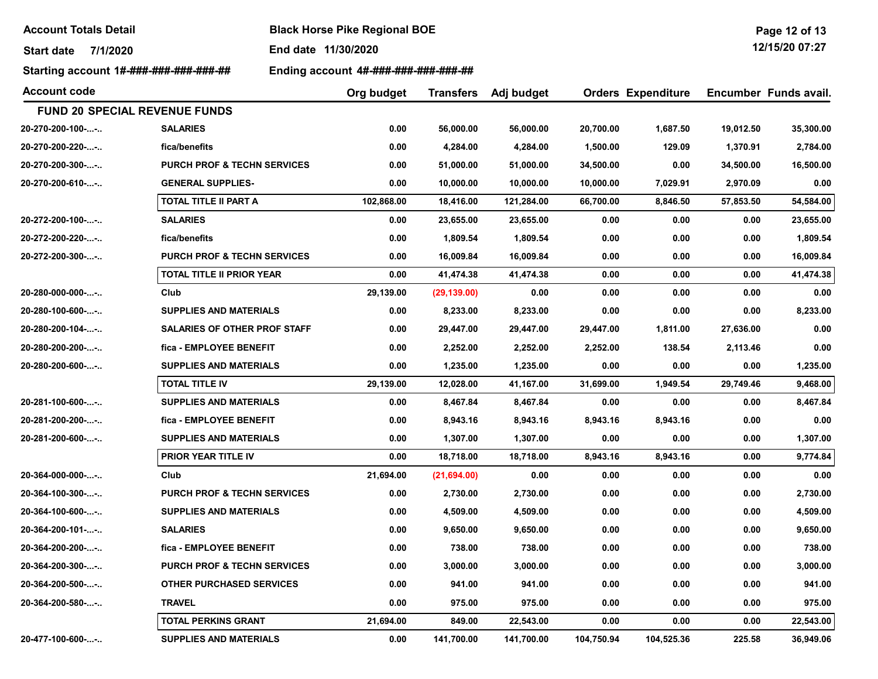Start date 7/1/2020 End date 11/30/2020

Starting account 1#-###-###-###-###-## Ending account 4#-###-###-###-###-###

| <b>Account code</b>            |                                        | Org budget | <b>Transfers</b> | Adj budget |            | <b>Orders Expenditure</b> |           | Encumber Funds avail. |
|--------------------------------|----------------------------------------|------------|------------------|------------|------------|---------------------------|-----------|-----------------------|
|                                | <b>FUND 20 SPECIAL REVENUE FUNDS</b>   |            |                  |            |            |                           |           |                       |
| 20-270-200-100--               | <b>SALARIES</b>                        | 0.00       | 56,000.00        | 56,000.00  | 20,700.00  | 1,687.50                  | 19,012.50 | 35,300.00             |
| 20-270-200-220--               | fica/benefits                          | 0.00       | 4,284.00         | 4,284.00   | 1,500.00   | 129.09                    | 1,370.91  | 2,784.00              |
| 20-270-200-300--               | <b>PURCH PROF &amp; TECHN SERVICES</b> | 0.00       | 51,000.00        | 51,000.00  | 34,500.00  | 0.00                      | 34,500.00 | 16,500.00             |
| 20-270-200-610--               | <b>GENERAL SUPPLIES-</b>               | 0.00       | 10,000.00        | 10,000.00  | 10,000.00  | 7,029.91                  | 2,970.09  | 0.00                  |
|                                | TOTAL TITLE II PART A                  | 102,868.00 | 18,416.00        | 121,284.00 | 66,700.00  | 8,846.50                  | 57,853.50 | 54,584.00             |
| 20-272-200-100--               | <b>SALARIES</b>                        | 0.00       | 23,655.00        | 23,655.00  | 0.00       | 0.00                      | 0.00      | 23,655.00             |
| 20-272-200-220--               | fica/benefits                          | 0.00       | 1,809.54         | 1,809.54   | 0.00       | 0.00                      | 0.00      | 1,809.54              |
| 20-272-200-300--               | <b>PURCH PROF &amp; TECHN SERVICES</b> | 0.00       | 16,009.84        | 16,009.84  | 0.00       | 0.00                      | 0.00      | 16,009.84             |
|                                | <b>TOTAL TITLE II PRIOR YEAR</b>       | 0.00       | 41,474.38        | 41,474.38  | 0.00       | 0.00                      | 0.00      | 41,474.38             |
| 20-280-000-000--               | Club                                   | 29,139.00  | (29, 139.00)     | 0.00       | 0.00       | 0.00                      | 0.00      | 0.00                  |
| 20-280-100-600--               | <b>SUPPLIES AND MATERIALS</b>          | 0.00       | 8,233.00         | 8,233.00   | 0.00       | 0.00                      | 0.00      | 8,233.00              |
| $20 - 280 - 200 - 104 - \dots$ | <b>SALARIES OF OTHER PROF STAFF</b>    | 0.00       | 29,447.00        | 29,447.00  | 29,447.00  | 1,811.00                  | 27,636.00 | 0.00                  |
| 20-280-200-200--               | fica - EMPLOYEE BENEFIT                | 0.00       | 2,252.00         | 2,252.00   | 2,252.00   | 138.54                    | 2,113.46  | 0.00                  |
| 20-280-200-600--               | <b>SUPPLIES AND MATERIALS</b>          | 0.00       | 1,235.00         | 1,235.00   | 0.00       | 0.00                      | 0.00      | 1,235.00              |
|                                | <b>TOTAL TITLE IV</b>                  | 29,139.00  | 12,028.00        | 41,167.00  | 31,699.00  | 1,949.54                  | 29,749.46 | 9,468.00              |
| 20-281-100-600--               | <b>SUPPLIES AND MATERIALS</b>          | 0.00       | 8,467.84         | 8,467.84   | 0.00       | 0.00                      | 0.00      | 8,467.84              |
| 20-281-200-200--               | fica - EMPLOYEE BENEFIT                | 0.00       | 8,943.16         | 8,943.16   | 8,943.16   | 8,943.16                  | 0.00      | 0.00                  |
| 20-281-200-600--               | <b>SUPPLIES AND MATERIALS</b>          | 0.00       | 1,307.00         | 1,307.00   | 0.00       | 0.00                      | 0.00      | 1,307.00              |
|                                | PRIOR YEAR TITLE IV                    | 0.00       | 18,718.00        | 18,718.00  | 8,943.16   | 8,943.16                  | 0.00      | 9,774.84              |
| 20-364-000-000--               | Club                                   | 21,694.00  | (21,694.00)      | 0.00       | 0.00       | 0.00                      | 0.00      | 0.00                  |
| 20-364-100-300--               | <b>PURCH PROF &amp; TECHN SERVICES</b> | 0.00       | 2,730.00         | 2,730.00   | 0.00       | 0.00                      | 0.00      | 2,730.00              |
| 20-364-100-600--               | <b>SUPPLIES AND MATERIALS</b>          | 0.00       | 4,509.00         | 4,509.00   | 0.00       | 0.00                      | 0.00      | 4,509.00              |
| 20-364-200-101--               | <b>SALARIES</b>                        | 0.00       | 9,650.00         | 9,650.00   | 0.00       | 0.00                      | 0.00      | 9,650.00              |
| 20-364-200-200--               | fica - EMPLOYEE BENEFIT                | 0.00       | 738.00           | 738.00     | 0.00       | 0.00                      | 0.00      | 738.00                |
| 20-364-200-300--               | <b>PURCH PROF &amp; TECHN SERVICES</b> | 0.00       | 3,000.00         | 3,000.00   | 0.00       | 0.00                      | 0.00      | 3,000.00              |
| 20-364-200-500--               | OTHER PURCHASED SERVICES               | 0.00       | 941.00           | 941.00     | 0.00       | 0.00                      | 0.00      | 941.00                |
| 20-364-200-580--               | <b>TRAVEL</b>                          | 0.00       | 975.00           | 975.00     | 0.00       | 0.00                      | 0.00      | 975.00                |
|                                | <b>TOTAL PERKINS GRANT</b>             | 21,694.00  | 849.00           | 22,543.00  | 0.00       | 0.00                      | 0.00      | 22,543.00             |
| 20-477-100-600--               | <b>SUPPLIES AND MATERIALS</b>          | 0.00       | 141,700.00       | 141,700.00 | 104,750.94 | 104,525.36                | 225.58    | 36,949.06             |

Page 12 of 13 12/15/20 07:27